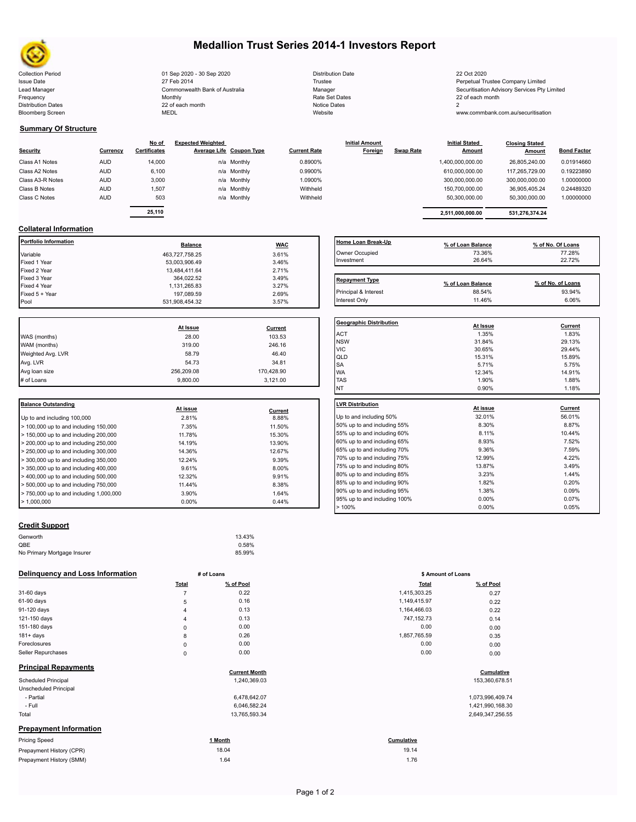

Bloomberg Screen

## **Medallion Trust Series 2014-1 Investors Report**

Collection Period Collection Collection Distribution Date 22 Oct 2020 22 Oct 2020 Issue Date **Trustee Company Limited** 27 Feb 2014 **1996** Trustee Trustee Trustee Perpetual Trustee Company Limited Lead Manager **Manager** Manager Securitisation Advisory Services Pty Limited Commonwealth Bank of Australia Manager Manager Securitisation Advisory Services Pty Limited Frequency 22 of each month Monthly Monthly Rate Set Dates Rate Set Dates 22 of each month Distribution Dates **Notice 2** and the control of the 22 of each month **Notice Dates** Notice Dates 2 27 Feb 2014 Commonwealth Bank of Australia Monthly 22 of each month

| <b>Distribution Date</b> |
|--------------------------|
| Trustee                  |
| Manager                  |
| Rate Set Dates           |
| Notice Dates             |
| Website                  |

www.commbank.com.au/securitisation

Interest Only 11.46% 6.06% 8.06% 8.06% 8.06% 8.06% 8.06% 8.06% 8.06% 8.06% 8.06% 8.06% 8.06% 8.06% 8.06% 8.06%

#### **Summary Of Structure**

| Security         | Currency   | No of<br><b>Certificates</b> | <b>Expected Weighted</b><br>Average Life Coupon Type | <b>Current Rate</b> | <b>Initial Amount</b><br>Foreign | <b>Swap Rate</b> | <b>Initial Stated</b><br><b>Amount</b> | <b>Closing Stated</b><br>Amount | <b>Bond Factor</b> |
|------------------|------------|------------------------------|------------------------------------------------------|---------------------|----------------------------------|------------------|----------------------------------------|---------------------------------|--------------------|
| Class A1 Notes   | <b>AUD</b> | 14,000                       | n/a Monthly                                          | 0.8900%             |                                  |                  | 1,400,000,000.00                       | 26.805.240.00                   | 0.01914660         |
| Class A2 Notes   | <b>AUD</b> | 6,100                        | n/a Monthly                                          | 0.9900%             |                                  |                  | 610,000,000.00                         | 117.265.729.00                  | 0.19223890         |
| Class A3-R Notes | <b>AUD</b> | 3,000                        | n/a Monthly                                          | 1.0900%             |                                  |                  | 300,000,000.00                         | 300,000,000.00                  | 1.00000000         |
| Class B Notes    | <b>AUD</b> | 1.507                        | n/a Monthly                                          | Withheld            |                                  |                  | 150,700,000.00                         | 36,905,405.24                   | 0.24489320         |
| Class C Notes    | <b>AUD</b> | 503                          | n/a Monthly                                          | Withheld            |                                  |                  | 50.300.000.00                          | 50,300,000.00                   | 1.00000000         |
|                  |            |                              |                                                      |                     |                                  |                  |                                        |                                 |                    |
|                  |            | 25.110                       |                                                      |                     |                                  |                  | 2.511.000.000.00                       | 531.276.374.24                  |                    |

### **Collateral Information**

| <b>Balance</b> |       | <b>Home Loan Break</b> |
|----------------|-------|------------------------|
| 463.727.758.25 | 3.61% | Owner Occupied         |
| 53.003.906.49  | 3.46% | Investment             |
| 13.484.411.64  | 2.71% |                        |
| 364.022.52     | 3.49% | <b>Repayment Type</b>  |
| 1.131.265.83   | 3.27% |                        |
| 197.089.59     | 2.69% | Principal & Interest   |
| 531.908.454.32 | 3.57% | Interest Only          |
|                |       | <b>WAC</b>             |

|                   |            |            | Geo              |
|-------------------|------------|------------|------------------|
|                   | At Issue   | Current    |                  |
| WAS (months)      | 28.00      | 103.53     | AC <sup>-</sup>  |
| WAM (months)      | 319.00     | 246.16     | <b>NS</b><br>VIC |
| Weighted Avg. LVR | 58.79      | 46.40      | QLI              |
| Avg. LVR          | 54.73      | 34.81      | <b>SA</b>        |
| Avg loan size     | 256,209.08 | 170,428.90 | <b>WA</b>        |
| # of Loans        | 9.800.00   | 3,121.00   | <b>TAS</b>       |
|                   |            |            |                  |

| <b>Balance Outstanding</b>                                | At issue |         | LVR Distribution    |
|-----------------------------------------------------------|----------|---------|---------------------|
|                                                           |          | Current |                     |
| Up to and including 100,000                               | 2.81%    | 8.88%   | Up to and including |
| $>$ 100,000 up to and including 150,000                   | 7.35%    | 11.50%  | 50% up to and incl  |
| $>$ 150,000 up to and including 200,000                   | 11.78%   | 15.30%  | 55% up to and incl  |
| $>$ 200,000 up to and including 250,000                   | 14.19%   | 13.90%  | 60% up to and incl  |
| $\geq$ 250,000 up to and including 300,000                | 14.36%   | 12.67%  | 65% up to and incl  |
| $>$ 300,000 up to and including 350,000                   | 12.24%   | 9.39%   | 70% up to and incl  |
| $\blacktriangleright$ 350,000 up to and including 400,000 | 9.61%    | 8.00%   | 75% up to and incl  |
|                                                           |          |         | 80% up to and incl  |
| $>$ 400,000 up to and including 500,000                   | 12.32%   | 9.91%   |                     |
| $>$ 500,000 up to and including 750,000                   | 11.44%   | 8.38%   | 85% up to and incl  |
| $> 750,000$ up to and including 1,000,000                 | 3.90%    | 1.64%   | 90% up to and incl  |
| $\blacktriangleright$ 1.000.000                           | $0.00\%$ | 0.44%   | 95% up to and incl  |
|                                                           |          |         |                     |

|--|

| Genworth                    | 13.43% |  |
|-----------------------------|--------|--|
| QBE                         | 0.58%  |  |
| No Primary Mortgage Insurer | 85.99% |  |
|                             |        |  |

#### **Delinquency and Loss Information # of Loans**

|                               | Total          | % of Pool            | <b>Total</b> | % of Pool        |
|-------------------------------|----------------|----------------------|--------------|------------------|
| 31-60 days                    | $\overline{7}$ | 0.22                 | 1,415,303.25 | 0.27             |
| 61-90 days                    | 5              | 0.16                 | 1,149,415.97 | 0.22             |
| 91-120 days                   | $\overline{4}$ | 0.13                 | 1,164,466.03 | 0.22             |
| 121-150 days                  | 4              | 0.13                 | 747, 152. 73 | 0.14             |
| 151-180 days                  | $\mathbf 0$    | 0.00                 | 0.00         | 0.00             |
| $181 + days$                  | 8              | 0.26                 | 1,857,765.59 | 0.35             |
| Foreclosures                  | $\pmb{0}$      | 0.00                 | 0.00         | 0.00             |
| Seller Repurchases            | $\mathbf 0$    | 0.00                 | 0.00         | 0.00             |
| <b>Principal Repayments</b>   |                | <b>Current Month</b> |              | Cumulative       |
| <b>Scheduled Principal</b>    |                | 1,240,369.03         |              | 153,360,678.51   |
| Unscheduled Principal         |                |                      |              |                  |
| - Partial                     |                | 6,478,642.07         |              | 1,073,996,409.74 |
| - Full                        |                | 6,046,582.24         |              | 1,421,990,168.30 |
| Total                         |                | 13,765,593.34        |              | 2,649,347,256.55 |
| <b>Prepayment Information</b> |                |                      |              |                  |
| <b>Pricing Speed</b>          |                | 1 Month              | Cumulative   |                  |
| Prepayment History (CPR)      |                | 18.04                | 19.14        |                  |
| Prepayment History (SMM)      |                | 1.64                 | 1.76         |                  |

| Home Loan Break-Up    | % of Loan Balance | % of No. Of Loans |
|-----------------------|-------------------|-------------------|
| Owner Occupied        | 73.36%            | 77.28%            |
| Investment            | 26.64%            | 22.72%            |
| <b>Repayment Type</b> | % of Loan Balance | % of No. of Loans |
| Principal & Interest  | 88.54%            | 93.94%            |

| <b>Geographic Distribution</b> |          |         |
|--------------------------------|----------|---------|
|                                | At Issue | Current |
| <b>ACT</b>                     | 1.35%    | 1.83%   |
| <b>NSW</b>                     | 31.84%   | 29.13%  |
| <b>VIC</b>                     | 30.65%   | 29.44%  |
| QLD                            | 15.31%   | 15.89%  |
| SA                             | 5.71%    | 5.75%   |
| <b>WA</b>                      | 12.34%   | 14.91%  |
| <b>TAS</b>                     | 1.90%    | 1.88%   |
| <b>NT</b>                      | 0.90%    | 1.18%   |
| <b>LVR Distribution</b>        |          |         |
|                                | At issue | Current |
| Up to and including 50%        | 32.01%   | 56.01%  |
| 50% up to and including 55%    | 8.30%    | 8.87%   |
| 55% up to and including 60%    | 8.11%    | 10.44%  |
| 60% up to and including 65%    | 8.93%    | 7.52%   |
| 65% up to and including 70%    | 9.36%    | 7.59%   |
| 70% up to and including 75%    | 12.99%   | 4.22%   |
| 75% up to and including 80%    | 13.87%   | 3.49%   |
| 80% up to and including 85%    | 3.23%    | 1.44%   |
| 85% up to and including 90%    | 1.82%    | 0.20%   |
| 90% up to and including 95%    | 1.38%    | 0.09%   |
| 95% up to and including 100%   | 0.00%    | 0.07%   |
| >100%                          | 0.00%    | 0.05%   |

|                | # of Loans | \$ Amount of Loans |           |
|----------------|------------|--------------------|-----------|
| Total          | % of Pool  | <b>Total</b>       | % of Pool |
| 7              | 0.22       | 1,415,303.25       | 0.27      |
| 5              | 0.16       | 1,149,415.97       | 0.22      |
| 4              | 0.13       | 1,164,466.03       | 0.22      |
| $\overline{4}$ | 0.13       | 747,152.73         | 0.14      |
| 0              | 0.00       | 0.00               | 0.00      |
| 8              | 0.26       | 1,857,765.59       | 0.35      |
| 0              | 0.00       | 0.00               | 0.00      |
| 0              | 0.00       | 0.00               | 0.00      |

# **Cumulative**<br>
153,360,678.51<br>
153,360,678.51

| 1,073,996,409.74 |
|------------------|
| 1,421,990,168.30 |
| 2.649.347.256.55 |